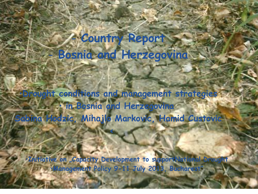# - **Country Report** - **Bosnia and Herzegovina**

í

î

•**Drought conditions and management strategies** • **in Bosnia and Herzegovina Sabina Hodzic, Mihajlo Markovic, Hamid Custovic**

**<**

ļ

•**Initiative on "Capacity Development to supportNational Drought**  •**Management Policy 9-11 July 2013, Bucharest"**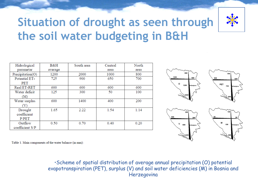

# **Situation of drought as seen through the soil water budgeting in B&H**

| Hidrological     | B&H     | South area | Central | North |
|------------------|---------|------------|---------|-------|
| parametar        | average |            | area    | area  |
| Precipitation(O) | 1200    | 2000       | 1000    | 800   |
| Potential ET-    | 725     | 900        | 650     | 700   |
| PET              |         |            |         |       |
| Real ET-RET      | 600     | 600        | 600     | 600   |
| Water deficit    | 125     | 300        | 50      | 100   |
| (M)              |         |            |         |       |
| Water surplus    | 600     | 1400       | 400     | 200   |
|                  |         |            |         |       |
| Drought          | 1.65    | 2.22       | 1.54    | 1.14  |
| coefficient      |         |            |         |       |
| P/PET            |         |            |         |       |
| Outflow          | 0.50    | 0.70       | 0.40    | 0.20  |
| coefficient S/P  |         |            |         |       |



Table 1. Main components of the water balance (in mm):

•Scheme of spatial distribution of average annual precipitation (O) potential evapotranspiration (PET), surplus (V) and soil water deficiencies (M) in Bosnia and Herzegovina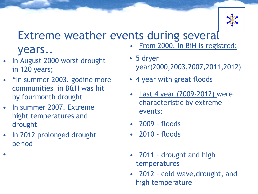

#### Extreme weather events during several • From 2000. in BiH is registred:

### years..

- In August 2000 worst drought in 120 years;
- "In summer 2003. godine more communities in B&H was hit by fourmonth drought
- In summer 2007. Extreme hight temperatures and drought
- In 2012 prolonged drought period

•

- 5 dryer year(2000,2003,2007,2011,2012)
- 4 year with great floods
- Last 4 year (2009-2012) were characteristic by extreme events:
- 2009 floods
- 2010 floods
- 2011 drought and high temperatures
- 2012 cold wave,drought, and high temperature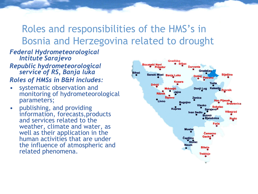### Roles and responsibilities of the HMS's in Bosnia and Herzegovina related to drought

#### *Federal Hydrometeorological Intitute Sarajevo*

- *Republic hydrometeorological service of RS, Banja luka Roles of HMSs in B&H includes:*
- systematic observation and monitoring of hydrometeorological parameters;
- publishing, and providing information, forecasts,products and services related to the weather, climate and water, as well as their application in the human activities that are under the influence of atmospheric and related phenomena.

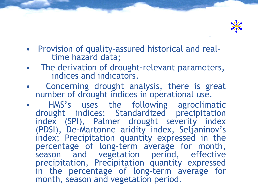

- Provision of quality-assured historical and real time hazard data;
- The derivation of drought-relevant parameters, indices and indicators.
- Concerning drought analysis, there is great number of drought indices in operational use.
- HMS's uses the following agroclimatic drought indices: Standardized precipitation index (SPI), Palmer drought severity index (PDSI), De-Martonne aridity index, Seljaninov's index; Precipitation quantity expressed in the percentage of long-term average for month, season and vegetation period, effective precipitation, Precipitation quantity expressed in the percentage of long-term average for month, season and vegetation period.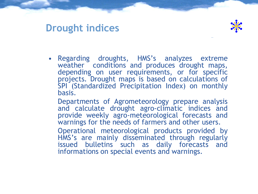### **Drought indices**



 $\overline{a}$ 

- Regarding droughts, HMS's analyzes extreme weather conditions and produces drought maps, depending on user requirements, or for specific projects. Drought maps is based on calculations of SPI (Standardized Precipitation Index) on monthly basis.
	- Departments of Agrometeorology prepare analysis and calculate drought agro-climatic indices and provide weekly agro-meteorological forecasts and warnings for the needs of farmers and other users.
	- Operational meteorological products provided by HMS's are mainly disseminated through regularly issued bulletins such as daily forecasts and informations on special events and warnings.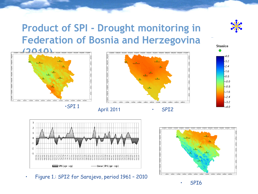## **Product of SPI - Drought monitoring in Federation of Bosnia and Herzegovina**











• Figure 1.: SPI2 for Sarajevo, period 1961 – 2010







4.0

 $-3.2$  $-2.4$  $-1.6$ -0.8  $-0.0$  $-0.8$  $-1.6$  $-2.4$  $-3.2$ 

40

**Stanice** 

 $\overline{a}$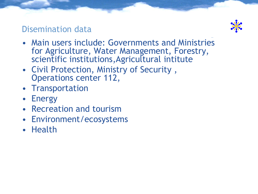### Disemination data



- Main users include: Governments and Ministries for Agriculture, Water Management, Forestry, scientific institutions,Agricultural intitute  $\overline{a}$
- Civil Protection, Ministry of Security , Operations center 112,
- Transportation
- Energy
- Recreation and tourism
- Environment/ecosystems
- Health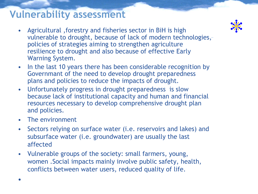### **Vulnerability assessment**

- Agricultural ,forestry and fisheries sector in BiH is high vulnerable to drought, because of lack of modern technologies[,](http://met.no/met/roros_2002.jpg)  policies of strategies aiming to strengthen agriculture resilience to drought and also because of effective Early Warning System.
- In the last 10 years there has been considerable recognition by Governmant of the need to develop drought preparedness plans and policies to reduce the impacts of drought.
- Unfortunately progress in drought preparedness is slow because lack of institutional capacity and human and financial resources necessary to develop comprehensive drought plan and policies.
- The environment
- Sectors relying on surface water (i.e. reservoirs and lakes) and subsurface water (i.e. groundwater) are usually the last affected
- Vulnerable groups of the society: small farmers, young, women .Social impacts mainly involve public safety, health, conflicts between water users, reduced quality of life.

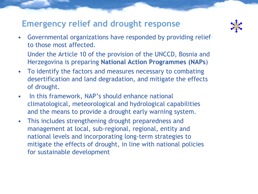#### **Emergency relief and drought response**



- Governmental organizations have responded by providing relief to those most affected.
	- Under the Article 10 of the provision of the UNCCD, Bosnia and Herzegovina is preparing **National Action Programmes (NAPs**)
- To identify the factors and measures necessary to combating desertification and land degradation, and mitigate the effects of drought.
- In this framework, NAP's should enhance national climatological, meteorological and hydrological capabilities and the means to provide a drought early warning system.
- This includes strengthening drought preparedness and management at local, sub-regional, regional, entity and national levels and incorporating long-term strategies to mitigate the effects of drought, in line with national policies for sustainable development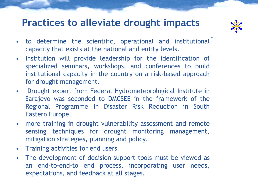### **Practices to alleviate drought impacts**



- to determine the scientific, operational and institutional capacity that exists at the national and entity levels.  $\overline{a}$
- Institution will provide leadership for the identification of specialized seminars, workshops, and conferences to build institutional capacity in the country on a risk-based approach for drought management.
- Drought expert from Federal Hydrometeorological Institute in Sarajevo was seconded to DMCSEE in the framework of the Regional Programme in Disaster Risk Reduction in South Eastern Europe.
- more training in drought vulnerability assessment and remote sensing techniques for drought monitoring management, mitigation strategies, planning and policy.
- Training activities for end users
- The development of decision-support tools must be viewed as an end-to-end-to end process, incorporating user needs, expectations, and feedback at all stages.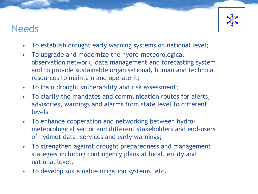### Needs



- To establish drought early warning systems on national level;
- To upgrade and modernize the hydro-meteorological observation network, data management and forecasting system and to provide sustainable organisational, human and technical resources to maintain and operate it;
- To train drought vulnerability and risk assessment;
- To clarify the mandates and communication routes for alerts, advisories, warnings and alarms from state level to different levels
- To enhance cooperation and networking between hydrometeorological sector and different stakeholders and end-users of hydmet data, services and early warnings;
- To strengthen against drought preparedness and management stategies including contingency plans at local, entity and national level;
- To develop sustainable irrigation systems, etc.